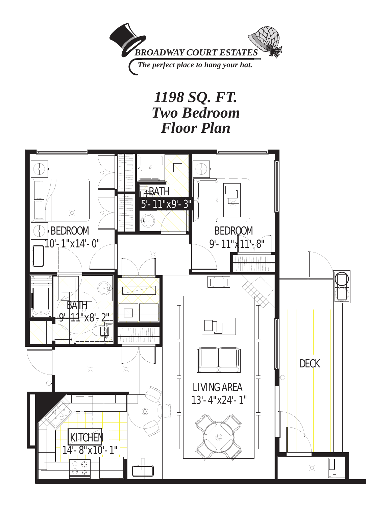

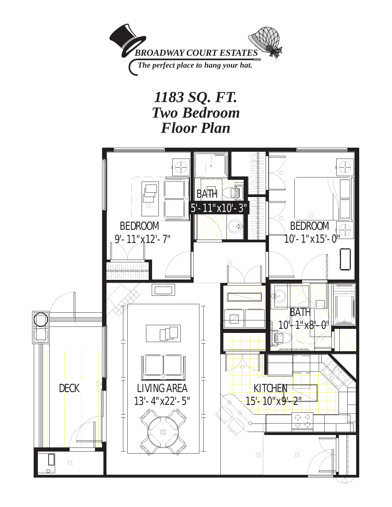

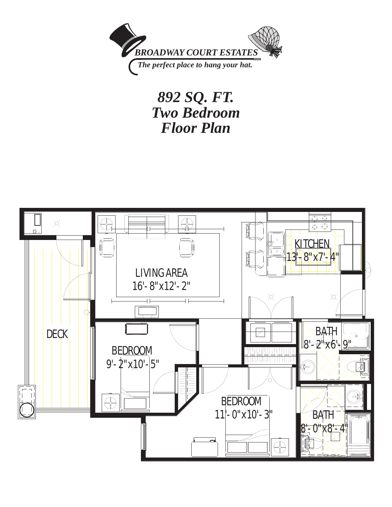

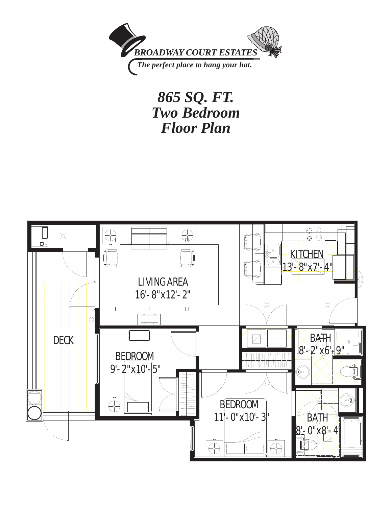

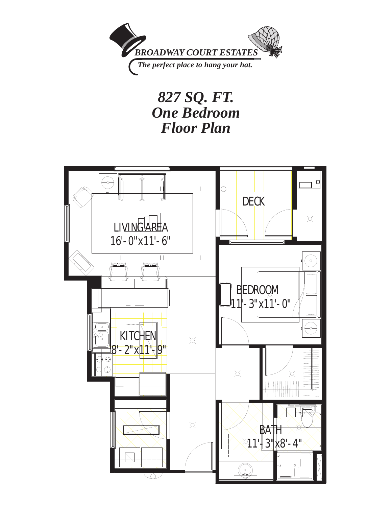

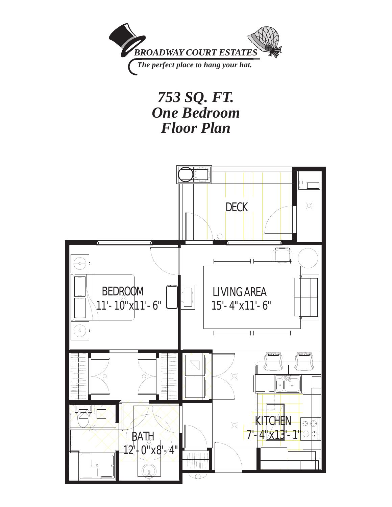

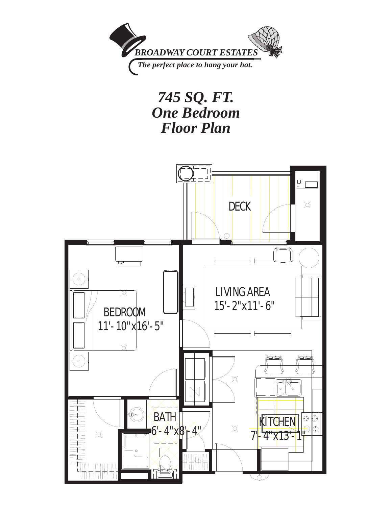

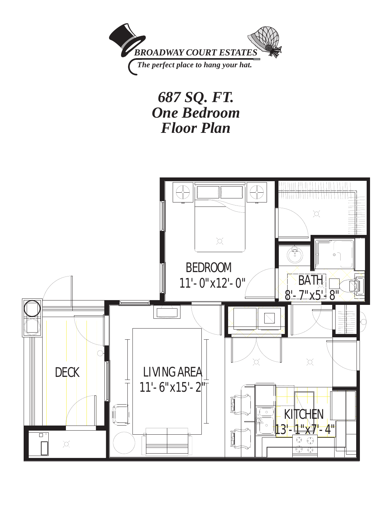

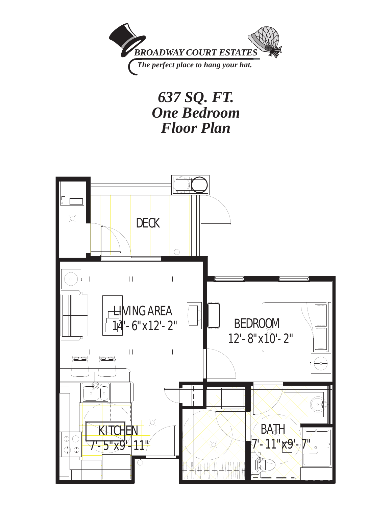

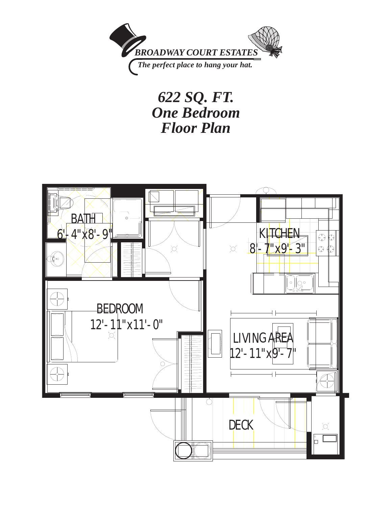